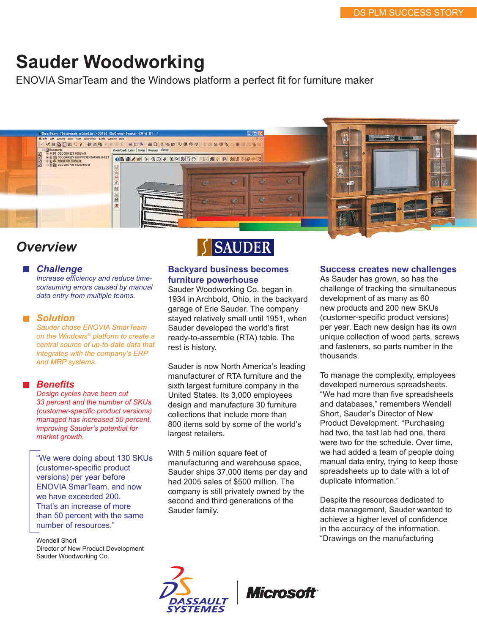# **Sauder Woodworking**

ENOVIA SmarTeam and the Windows platform a perfect fit for furniture maker



# *Overview*

#### *Challenge*

*Increase efficiency and reduce timeconsuming errors caused by manual data entry from multiple teams.*

#### ■ Solution

*Sauder chose ENOVIA SmarTeam on the Windows® platform to create a central source of up-to-date data that integrates with the company's ERP and MRP systems.*

#### *Benefits*

*Design cycles have been cut 33 percent and the number of SKUs (customer-specific product versions) managed has increased 50 percent, improving Sauder's potential for market growth.*

"We were doing about 130 SKUs (customer-specific product versions) per year before ENOVIA SmarTeam, and now we have exceeded 200. That's an increase of more than 50 percent with the same number of resources."

Wendell Short Director of New Product Development Sauder Woodworking Co.



## **Backyard business becomes furniture powerhouse**

Sauder Woodworking Co. began in 1934 in Archbold, Ohio, in the backyard garage of Erie Sauder. The company stayed relatively small until 1951, when Sauder developed the world's first ready-to-assemble (RTA) table. The rest is history.

Sauder is now North America's leading manufacturer of RTA furniture and the sixth largest furniture company in the United States. Its 3,000 employees design and manufacture 30 furniture collections that include more than 800 items sold by some of the world's largest retailers.

With 5 million square feet of manufacturing and warehouse space, Sauder ships 37,000 items per day and had 2005 sales of \$500 million. The company is still privately owned by the second and third generations of the Sauder family.

#### **Success creates new challenges**

As Sauder has grown, so has the challenge of tracking the simultaneous development of as many as 60 new products and 200 new SKUs (customer-specific product versions) per year. Each new design has its own unique collection of wood parts, screws and fasteners, so parts number in the thousands.

To manage the complexity, employees developed numerous spreadsheets. "We had more than five spreadsheets and databases," remembers Wendell Short, Sauder's Director of New Product Development. "Purchasing had two, the test lab had one, there were two for the schedule. Over time, we had added a team of people doing manual data entry, trying to keep those spreadsheets up to date with a lot of duplicate information."

Despite the resources dedicated to data management, Sauder wanted to achieve a higher level of confidence in the accuracy of the information. "Drawings on the manufacturing



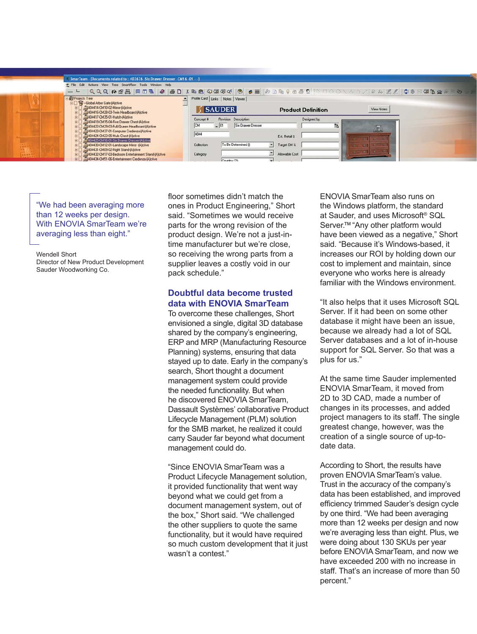|              | 5. SmarTeam - [Documents related to: 402676 -Six Drawer Dresser -CM16 -01 - -]                            |                                                     |                                         |  |
|--------------|-----------------------------------------------------------------------------------------------------------|-----------------------------------------------------|-----------------------------------------|--|
|              | E File Edit Actions View Tree SmartFlow Tools Window Help                                                 |                                                     |                                         |  |
|              |                                                                                                           |                                                     |                                         |  |
|              | <b>PyProjects Tree</b><br><b>BI Silobal Arbor Gate-(A)ctive</b>                                           | Profile Card Links   Notes   Viewer                 |                                         |  |
|              | E 3404414-CM10-02-Mirror-(A)ctive                                                                         | <b>SAUDER</b>                                       | View Notes<br><b>Product Definition</b> |  |
|              | 8 3404416 CM28-03-Twin Headboard-(A)ctive<br>E 3404417-CM35-01-Hutch-(A)ctive                             |                                                     |                                         |  |
|              | 8 3404419 CM15-04-Five Drawer Chest-(A)ctive                                                              | Revision Description<br>Concept #                   | Designed by:                            |  |
|              | E 3404422-CM29-03-Full/Queen Headboard-(A)ctive                                                           | $-101$<br>Six Drawer Dresser                        | P.<br>The                               |  |
|              | E 3404423 CM37-01-Computer Credenza-(A)ctive<br>E 3404424-CM23-05-Mule Chest-(A)ctive                     | 4044                                                |                                         |  |
|              | 404425 CM16-01-Six Drawer Dresser (A)ctive                                                                | Est. Retail \$                                      |                                         |  |
|              | 404430 CM12-01-Landscape Mirror -(A)ctive                                                                 | To Be Determined ()<br>Target CM %<br>Collection    |                                         |  |
|              | E 3404431-CM09-02-Night Stand-(A)ctive                                                                    | Allowable Cost                                      |                                         |  |
| <b>KNHHA</b> | E 3404432-CM17-03-Bedroom Entertainment Stand-(A)ctive<br>4944434-CM51-06-Entertainment Credenza-(A)ctive | Category<br>Country (2)<br>$\overline{\phantom{0}}$ |                                         |  |

"We had been averaging more than 12 weeks per design. With ENOVIA SmarTeam we're averaging less than eight."

Wendell Short Director of New Product Development Sauder Woodworking Co.

floor sometimes didn't match the ones in Product Engineering," Short said. "Sometimes we would receive parts for the wrong revision of the product design. We're not a just-intime manufacturer but we're close, so receiving the wrong parts from a supplier leaves a costly void in our pack schedule."

# **Doubtful data become trusted data with ENOVIA SmarTeam**

To overcome these challenges, Short envisioned a single, digital 3D database shared by the company's engineering, ERP and MRP (Manufacturing Resource Planning) systems, ensuring that data stayed up to date. Early in the company's search, Short thought a document management system could provide the needed functionality. But when he discovered ENOVIA SmarTeam, Dassault Systèmes' collaborative Product Lifecycle Management (PLM) solution for the SMB market, he realized it could carry Sauder far beyond what document management could do.

"Since ENOVIA SmarTeam was a Product Lifecycle Management solution, it provided functionality that went way beyond what we could get from a document management system, out of the box," Short said. "We challenged the other suppliers to quote the same functionality, but it would have required so much custom development that it just wasn't a contest."

ENOVIA SmarTeam also runs on the Windows platform, the standard at Sauder, and uses Microsoft ® SQL Server.<sup>™ "</sup>Any other platform would have been viewed as a negative," Short said. "Because it's Windows-based, it increases our ROI by holding down our cost to implement and maintain, since everyone who works here is already familiar with the Windows environment.

"It also helps that it uses Microsoft SQL Server. If it had been on some other database it might have been an issue, because we already had a lot of SQL Server databases and a lot of in-house support for SQL Server. So that was a plus for us."

At the same time Sauder implemented ENOVIA SmarTeam, it moved from 2D to 3D CAD, made a number of changes in its processes, and added project managers to its staff. The single greatest change, however, was the creation of a single source of up-todate data.

According to Short, the results have proven ENOVIA SmarTeam's value. Trust in the accuracy of the company's data has been established, and improved efficiency trimmed Sauder's design cycle by one third. "We had been averaging more than 12 weeks per design and now we're averaging less than eight. Plus, we were doing about 130 SKUs per year before ENOVIA SmarTeam, and now we have exceeded 200 with no increase in staff. That's an increase of more than 50 percent."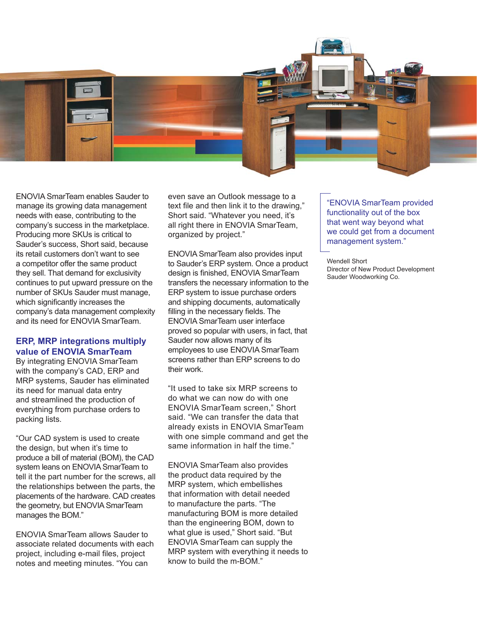

ENOVIA SmarTeam enables Sauder to manage its growing data management needs with ease, contributing to the company's success in the marketplace. Producing more SKUs is critical to Sauder's success, Short said, because its retail customers don't want to see a competitor offer the same product they sell. That demand for exclusivity continues to put upward pressure on the number of SKUs Sauder must manage, which significantly increases the company's data management complexity and its need for ENOVIA SmarTeam.

# **ERP, MRP integrations multiply value of ENOVIA SmarTeam**

By integrating ENOVIA SmarTeam with the company's CAD, ERP and MRP systems, Sauder has eliminated its need for manual data entry and streamlined the production of everything from purchase orders to packing lists.

"Our CAD system is used to create the design, but when it's time to produce a bill of material (BOM), the CAD system leans on ENOVIA SmarTeam to tell it the part number for the screws, all the relationships between the parts, the placements of the hardware. CAD creates the geometry, but ENOVIA SmarTeam manages the BOM."

ENOVIA SmarTeam allows Sauder to associate related documents with each project, including e-mail files, project notes and meeting minutes. "You can

even save an Outlook message to a text file and then link it to the drawing," Short said. "Whatever you need, it's all right there in ENOVIA SmarTeam, organized by project."

ENOVIA SmarTeam also provides input to Sauder's ERP system. Once a product design is finished, ENOVIA SmarTeam transfers the necessary information to the ERP system to issue purchase orders and shipping documents, automatically filling in the necessary fields. The ENOVIA SmarTeam user interface proved so popular with users, in fact, that Sauder now allows many of its employees to use ENOVIA SmarTeam screens rather than ERP screens to do their work.

"It used to take six MRP screens to do what we can now do with one ENOVIA SmarTeam screen," Short said. "We can transfer the data that already exists in ENOVIA SmarTeam with one simple command and get the same information in half the time."

ENOVIA SmarTeam also provides the product data required by the MRP system, which embellishes that information with detail needed to manufacture the parts. "The manufacturing BOM is more detailed than the engineering BOM, down to what glue is used," Short said. "But ENOVIA SmarTeam can supply the MRP system with everything it needs to know to build the m-BOM."

"ENOVIA SmarTeam provided functionality out of the box that went way beyond what we could get from a document management system."

Wendell Short Director of New Product Development Sauder Woodworking Co.